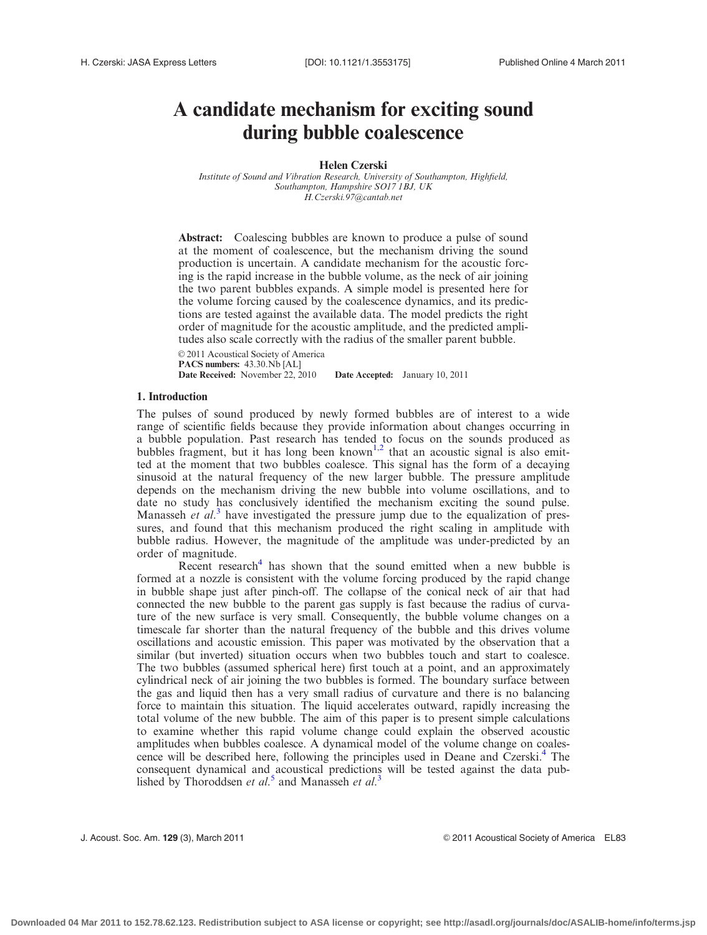# A candidate mechanism for exciting sound during bubble coalescence

Helen Czerski

Institute of Sound and Vibration Research, University of Southampton, Highfield, Southampton, Hampshire SO17 1BJ, UK H.Czerski.97@cantab.net

Abstract: Coalescing bubbles are known to produce a pulse of sound at the moment of coalescence, but the mechanism driving the sound production is uncertain. A candidate mechanism for the acoustic forcing is the rapid increase in the bubble volume, as the neck of air joining the two parent bubbles expands. A simple model is presented here for the volume forcing caused by the coalescence dynamics, and its predictions are tested against the available data. The model predicts the right order of magnitude for the acoustic amplitude, and the predicted amplitudes also scale correctly with the radius of the smaller parent bubble.

 $© 2011$  Acoustical Society of America PACS numbers:  $43.30$ .Nb [AL] Date Received: November 22, 2010 Date Accepted: January 10, 2011

# 1. Introduction

The pulses of sound produced by newly formed bubbles are of interest to a wide range of scientific fields because they provide information about changes occurring in a bubble population. Past research has tended to focus on the sounds produced as bubbles fragment, but it has long been known<sup>[1,2](#page-5-0)</sup> that an acoustic signal is also emitted at the moment that two bubbles coalesce. This signal has the form of a decaying sinusoid at the natural frequency of the new larger bubble. The pressure amplitude depends on the mechanism driving the new bubble into volume oscillations, and to date no study has conclusively identified the mechanism exciting the sound pulse. Manasseh et al.<sup>[3](#page-5-0)</sup> have investigated the pressure jump due to the equalization of pressures, and found that this mechanism produced the right scaling in amplitude with bubble radius. However, the magnitude of the amplitude was under-predicted by an order of magnitude.

Recent research<sup>[4](#page-5-0)</sup> has shown that the sound emitted when a new bubble is formed at a nozzle is consistent with the volume forcing produced by the rapid change in bubble shape just after pinch-off. The collapse of the conical neck of air that had connected the new bubble to the parent gas supply is fast because the radius of curvature of the new surface is very small. Consequently, the bubble volume changes on a timescale far shorter than the natural frequency of the bubble and this drives volume oscillations and acoustic emission. This paper was motivated by the observation that a similar (but inverted) situation occurs when two bubbles touch and start to coalesce. The two bubbles (assumed spherical here) first touch at a point, and an approximately cylindrical neck of air joining the two bubbles is formed. The boundary surface between the gas and liquid then has a very small radius of curvature and there is no balancing force to maintain this situation. The liquid accelerates outward, rapidly increasing the total volume of the new bubble. The aim of this paper is to present simple calculations to examine whether this rapid volume change could explain the observed acoustic amplitudes when bubbles coalesce. A dynamical model of the volume change on coalescence will be described here, following the principles used in Deane and Czerski.<sup>4</sup> The consequent dynamical and acoustical predictions will be tested against the data published by Thoroddsen et  $al$ <sup>[5](#page-5-0)</sup> and Manasseh et  $al$ <sup>[3](#page-5-0)</sup>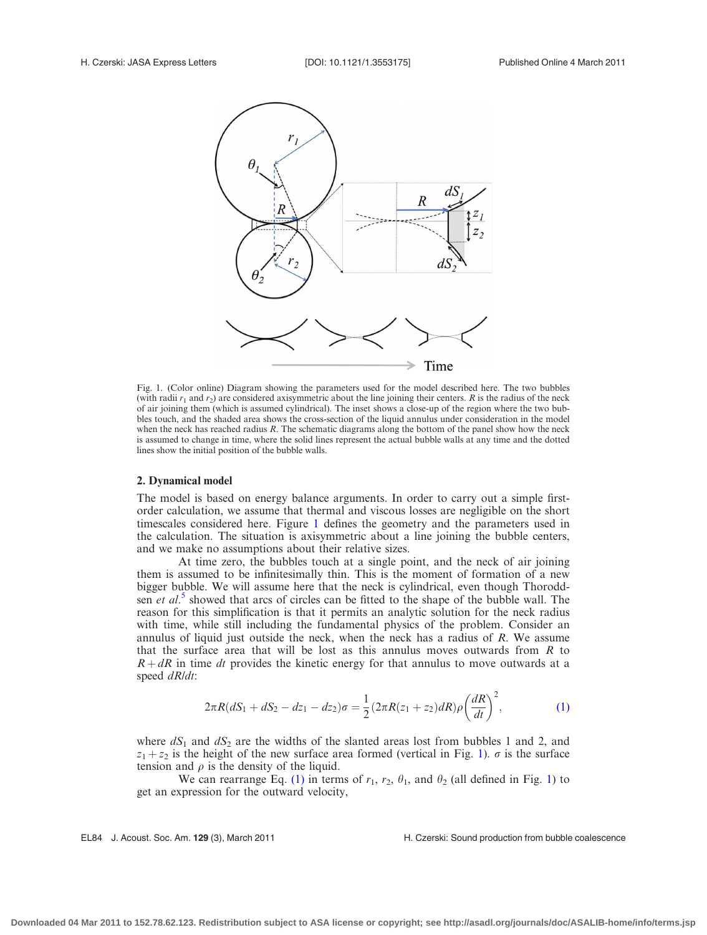

Fig. 1. (Color online) Diagram showing the parameters used for the model described here. The two bubbles (with radii  $r_1$  and  $r_2$ ) are considered axisymmetric about the line joining their centers. R is the radius of the neck of air joining them (which is assumed cylindrical). The inset shows a close-up of the region where the two bubbles touch, and the shaded area shows the cross-section of the liquid annulus under consideration in the model when the neck has reached radius  $R$ . The schematic diagrams along the bottom of the panel show how the neck is assumed to change in time, where the solid lines represent the actual bubble walls at any time and the dotted lines show the initial position of the bubble walls.

# 2. Dynamical model

The model is based on energy balance arguments. In order to carry out a simple firstorder calculation, we assume that thermal and viscous losses are negligible on the short timescales considered here. Figure 1 defines the geometry and the parameters used in the calculation. The situation is axisymmetric about a line joining the bubble centers, and we make no assumptions about their relative sizes.

At time zero, the bubbles touch at a single point, and the neck of air joining them is assumed to be infinitesimally thin. This is the moment of formation of a new bigger bubble. We will assume here that the neck is cylindrical, even though Thoroddsen et  $al$ <sup>[5](#page-5-0)</sup> showed that arcs of circles can be fitted to the shape of the bubble wall. The reason for this simplification is that it permits an analytic solution for the neck radius with time, while still including the fundamental physics of the problem. Consider an annulus of liquid just outside the neck, when the neck has a radius of R. We assume that the surface area that will be lost as this annulus moves outwards from  $R$  to  $R + dR$  in time dt provides the kinetic energy for that annulus to move outwards at a speed dR/dt:

$$
2\pi R(dS_1 + dS_2 - dz_1 - dz_2)\sigma = \frac{1}{2}(2\pi R(z_1 + z_2)dR)\rho\left(\frac{dR}{dt}\right)^2, \tag{1}
$$

where  $dS_1$  and  $dS_2$  are the widths of the slanted areas lost from bubbles 1 and 2, and  $z_1 + z_2$  is the height of the new surface area formed (vertical in Fig. 1).  $\sigma$  is the surface tension and  $\rho$  is the density of the liquid.

We can rearrange Eq. (1) in terms of  $r_1$ ,  $r_2$ ,  $\theta_1$ , and  $\theta_2$  (all defined in Fig. 1) to get an expression for the outward velocity,

#### EL84 J. Acoust. Soc. Am. 129 (3), March 2011 **H. Czerski: Sound production from bubble coalescence**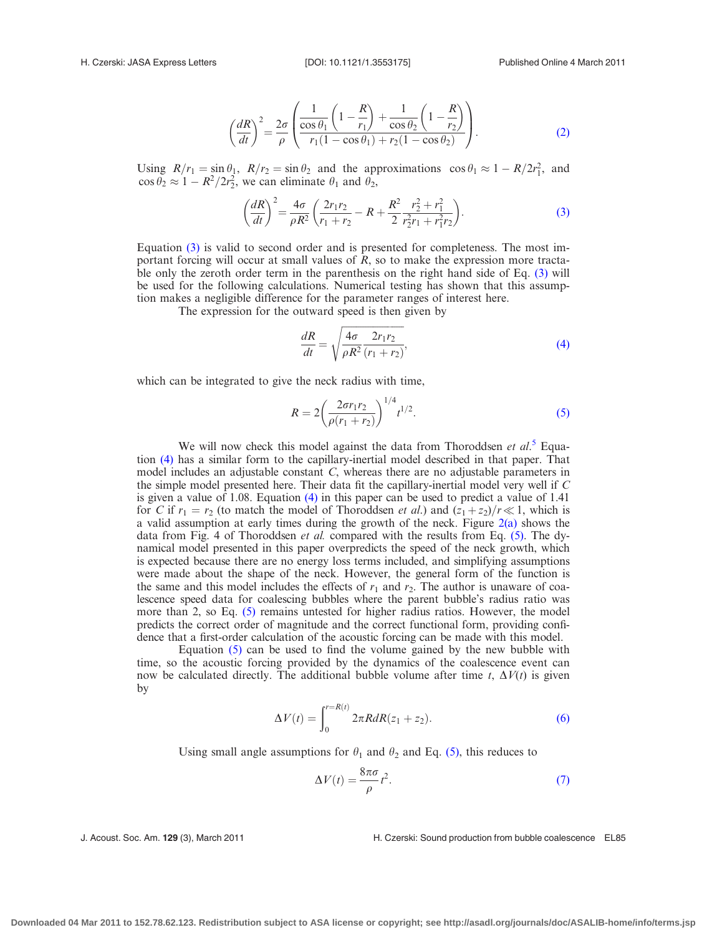$$
\left(\frac{dR}{dt}\right)^2 = \frac{2\sigma}{\rho} \left(\frac{1}{\frac{\cos\theta_1}{r_1(1-\cos\theta_1)} + \frac{1}{\cos\theta_2} \left(1 - \frac{R}{r_2}\right)}{r_1(1-\cos\theta_1) + r_2(1-\cos\theta_2)}\right).
$$
\n(2)

<span id="page-2-0"></span>Using  $R/r_1 = \sin \theta_1$ ,  $R/r_2 = \sin \theta_2$  and the approximations  $\cos \theta_1 \approx 1 - R/2r_1^2$ , and  $\cos \theta_2 \approx 1 - R^2/2r_2^2$ , we can eliminate  $\theta_1$  and  $\theta_2$ ,

$$
\left(\frac{dR}{dt}\right)^2 = \frac{4\sigma}{\rho R^2} \left(\frac{2r_1r_2}{r_1+r_2} - R + \frac{R^2}{2} \frac{r_2^2 + r_1^2}{r_2^2 r_1 + r_1^2 r_2}\right).
$$
\n(3)

Equation (3) is valid to second order and is presented for completeness. The most important forcing will occur at small values of R, so to make the expression more tractable only the zeroth order term in the parenthesis on the right hand side of Eq. (3) will be used for the following calculations. Numerical testing has shown that this assumption makes a negligible difference for the parameter ranges of interest here.

The expression for the outward speed is then given by

$$
\frac{dR}{dt} = \sqrt{\frac{4\sigma}{\rho R^2} \frac{2r_1r_2}{(r_1 + r_2)}},\tag{4}
$$

which can be integrated to give the neck radius with time,

$$
R = 2\left(\frac{2\sigma r_1 r_2}{\rho(r_1 + r_2)}\right)^{1/4} t^{1/2}.
$$
 (5)

We will now check this model against the data from Thoroddsen et  $al$ <sup>[5](#page-5-0)</sup>. Equation (4) has a similar form to the capillary-inertial model described in that paper. That model includes an adjustable constant C, whereas there are no adjustable parameters in the simple model presented here. Their data fit the capillary-inertial model very well if C is given a value of 1.08. Equation (4) in this paper can be used to predict a value of 1.41 for C if  $r_1 = r_2$  (to match the model of Thoroddsen *et al.*) and  $(z_1 + z_2)/r \ll 1$ , which is a valid assumption at early times during the growth of the neck. Figure  $2(a)$  shows the data from Fig. 4 of Thoroddsen et al. compared with the results from Eq. (5). The dynamical model presented in this paper overpredicts the speed of the neck growth, which is expected because there are no energy loss terms included, and simplifying assumptions were made about the shape of the neck. However, the general form of the function is the same and this model includes the effects of  $r_1$  and  $r_2$ . The author is unaware of coalescence speed data for coalescing bubbles where the parent bubble's radius ratio was more than 2, so Eq. (5) remains untested for higher radius ratios. However, the model predicts the correct order of magnitude and the correct functional form, providing confidence that a first-order calculation of the acoustic forcing can be made with this model.

Equation (5) can be used to find the volume gained by the new bubble with time, so the acoustic forcing provided by the dynamics of the coalescence event can now be calculated directly. The additional bubble volume after time t,  $\Delta V(t)$  is given by

$$
\Delta V(t) = \int_0^{r=R(t)} 2\pi R dR(z_1 + z_2).
$$
 (6)

Using small angle assumptions for  $\theta_1$  and  $\theta_2$  and Eq. (5), this reduces to

$$
\Delta V(t) = \frac{8\pi\sigma}{\rho} t^2.
$$
\n(7)

J. Acoust. Soc. Am. 129 (3), March 2011 **H. Czerski: Sound production from bubble coalescence** EL85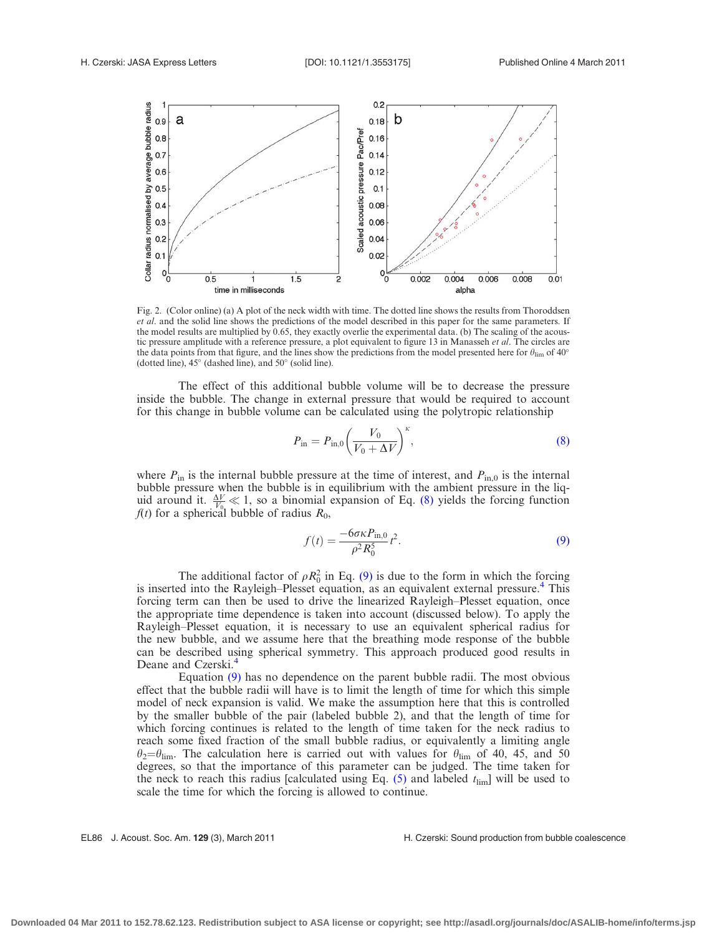<span id="page-3-0"></span>

Fig. 2. (Color online) (a) A plot of the neck width with time. The dotted line shows the results from Thoroddsen et al. and the solid line shows the predictions of the model described in this paper for the same parameters. If the model results are multiplied by 0.65, they exactly overlie the experimental data. (b) The scaling of the acoustic pressure amplitude with a reference pressure, a plot equivalent to figure 13 in Manasseh et al. The circles are the data points from that figure, and the lines show the predictions from the model presented here for  $\theta_{\rm lim}$  of 40° (dotted line),  $45^\circ$  (dashed line), and  $50^\circ$  (solid line).

The effect of this additional bubble volume will be to decrease the pressure inside the bubble. The change in external pressure that would be required to account for this change in bubble volume can be calculated using the polytropic relationship

$$
P_{\rm in} = P_{\rm in,0} \left(\frac{V_0}{V_0 + \Delta V}\right)^{\kappa},\tag{8}
$$

where  $P_{\text{in}}$  is the internal bubble pressure at the time of interest, and  $P_{\text{in},0}$  is the internal bubble pressure when the bubble is in equilibrium with the ambient pressure in the liquid around it.  $\frac{\Delta V}{V_{0}} \ll 1$ , so a binomial expansion of Eq. (8) yields the forcing function  $f(t)$  for a spherical bubble of radius  $R_0$ ,

$$
f(t) = \frac{-6\sigma\kappa P_{\text{in},0}}{\rho^2 R_0^5} t^2.
$$
 (9)

The additional factor of  $\rho R_0^2$  in Eq. (9) is due to the form in which the forcing is inserted into the Rayleigh–Plesset equation, as an equivalent external pressure.<sup>[4](#page-5-0)</sup> This forcing term can then be used to drive the linearized Rayleigh–Plesset equation, once the appropriate time dependence is taken into account (discussed below). To apply the Rayleigh–Plesset equation, it is necessary to use an equivalent spherical radius for the new bubble, and we assume here that the breathing mode response of the bubble can be described using spherical symmetry. This approach produced good results in Deane and Czerski.<sup>[4](#page-5-0)</sup>

Equation (9) has no dependence on the parent bubble radii. The most obvious effect that the bubble radii will have is to limit the length of time for which this simple model of neck expansion is valid. We make the assumption here that this is controlled by the smaller bubble of the pair (labeled bubble 2), and that the length of time for which forcing continues is related to the length of time taken for the neck radius to reach some fixed fraction of the small bubble radius, or equivalently a limiting angle  $\theta_2 = \theta_{\text{lim}}$ . The calculation here is carried out with values for  $\theta_{\text{lim}}$  of 40, 45, and 50 degrees, so that the importance of this parameter can be judged. The time taken for the neck to reach this radius [calculated using Eq.  $(5)$  and labeled  $t_{\text{lim}}$ ] will be used to scale the time for which the forcing is allowed to continue.

EL86 J. Acoust. Soc. Am. 129 (3), March 2011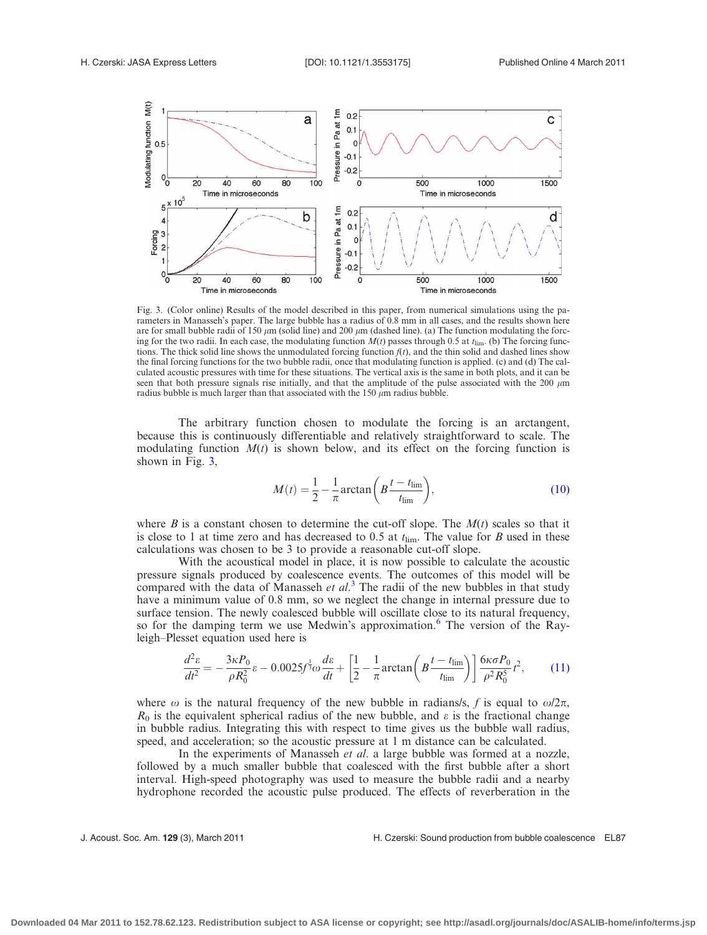<span id="page-4-0"></span>

Fig. 3. (Color online) Results of the model described in this paper, from numerical simulations using the parameters in Manasseh's paper. The large bubble has a radius of 0.8 mm in all cases, and the results shown here are for small bubble radii of 150  $\mu$ m (solid line) and 200  $\mu$ m (dashed line). (a) The function modulating the forcing for the two radii. In each case, the modulating function  $M(t)$  passes through 0.5 at  $t_{\text{lim}}$ . (b) The forcing functions. The thick solid line shows the unmodulated forcing function  $f(t)$ , and the thin solid and dashed lines show the final forcing functions for the two bubble radii, once that modulating function is applied. (c) and (d) The calculated acoustic pressures with time for these situations. The vertical axis is the same in both plots, and it can be seen that both pressure signals rise initially, and that the amplitude of the pulse associated with the 200  $\mu$ m radius bubble is much larger than that associated with the 150  $\mu$ m radius bubble.

The arbitrary function chosen to modulate the forcing is an arctangent, because this is continuously differentiable and relatively straightforward to scale. The modulating function  $M(t)$  is shown below, and its effect on the forcing function is shown in Fig. 3,

$$
M(t) = \frac{1}{2} - \frac{1}{\pi} \arctan\left(B \frac{t - t_{\text{lim}}}{t_{\text{lim}}}\right),\tag{10}
$$

where B is a constant chosen to determine the cut-off slope. The  $M(t)$  scales so that it is close to 1 at time zero and has decreased to 0.5 at  $t_{\text{lim}}$ . The value for B used in these calculations was chosen to be 3 to provide a reasonable cut-off slope.

With the acoustical model in place, it is now possible to calculate the acoustic pressure signals produced by coalescence events. The outcomes of this model will be compared with the data of Manasseh et  $al$ <sup>[3](#page-5-0)</sup>. The radii of the new bubbles in that study have a minimum value of 0.8 mm, so we neglect the change in internal pressure due to surface tension. The newly coalesced bubble will oscillate close to its natural frequency, so for the damping term we use Medwin's approximation.<sup>[6](#page-5-0)</sup> The version of the Rayleigh–Plesset equation used here is

$$
\frac{d^2\varepsilon}{dt^2} = -\frac{3\kappa P_0}{\rho R_0^2} \varepsilon - 0.0025 f^{\frac{1}{3}} \omega \frac{d\varepsilon}{dt} + \left[ \frac{1}{2} - \frac{1}{\pi} \arctan\left( B \frac{t - t_{\text{lim}}}{t_{\text{lim}}} \right) \right] \frac{6\kappa \sigma P_0}{\rho^2 R_0^5} t^2, \tag{11}
$$

where  $\omega$  is the natural frequency of the new bubble in radians/s, f is equal to  $\omega/2\pi$ ,  $R_0$  is the equivalent spherical radius of the new bubble, and  $\varepsilon$  is the fractional change in bubble radius. Integrating this with respect to time gives us the bubble wall radius, speed, and acceleration; so the acoustic pressure at 1 m distance can be calculated.

In the experiments of Manasseh *et al.* a large bubble was formed at a nozzle, followed by a much smaller bubble that coalesced with the first bubble after a short interval. High-speed photography was used to measure the bubble radii and a nearby hydrophone recorded the acoustic pulse produced. The effects of reverberation in the